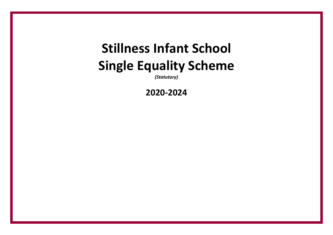# **Stillness Infant School Single Equality Scheme**

*(Statutory)*

**2020-2024**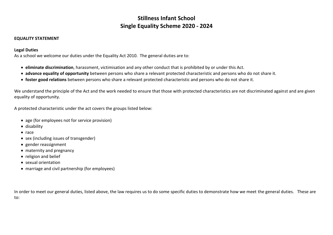# **Stillness Infant School Single Equality Scheme 2020 - 2024**

#### **EQUALITY STATEMENT**

#### **Legal Duties**

As a school we welcome our duties under the Equality Act 2010. The general duties are to:

- **eliminate discrimination**, harassment, victimisation and any other conduct that is prohibited by or under this Act.
- **advance equality of opportunity** between persons who share a relevant protected characteristic and persons who do not share it.
- **foster good relations** between persons who share a relevant protected characteristic and persons who do not share it.

We understand the principle of the Act and the work needed to ensure that those with protected characteristics are not discriminated against and are given equality of opportunity.

A protected characteristic under the act covers the groups listed below:

- age (for employees not for service provision)
- disability
- race
- sex (including issues of transgender)
- gender reassignment
- maternity and pregnancy
- religion and belief
- sexual orientation
- marriage and civil partnership (for employees)

In order to meet our general duties, listed above, the law requires us to do some specific duties to demonstrate how we meet the general duties. These are to: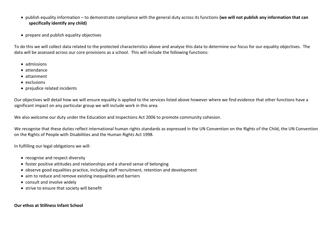- publish equality information to demonstrate compliance with the general duty across its functions **(we will not publish any information that can specifically identify any child)**
- prepare and publish equality objectives

To do this we will collect data related to the protected characteristics above and analyse this data to determine our focus for our equality objectives. The data will be assessed across our core provisions as a school. This will include the following functions:

- admissions
- attendance
- attainment
- exclusions
- prejudice related incidents

Our objectives will detail how we will ensure equality is applied to the services listed above however where we find evidence that other functions have a significant impact on any particular group we will include work in this area.

We also welcome our duty under the Education and Inspections Act 2006 to promote community cohesion.

We recognise that these duties reflect international human rights standards as expressed in the UN Convention on the Rights of the Child, the UN Convention on the Rights of People with Disabilities and the Human Rights Act 1998.

In fulfilling our legal obligations we will:

- recognise and respect diversity
- foster positive attitudes and relationships and a shared sense of belonging
- observe good equalities practice, including staff recruitment, retention and development
- aim to reduce and remove existing inequalities and barriers
- consult and involve widely
- strive to ensure that society will benefit

#### **Our ethos at Stillness Infant School**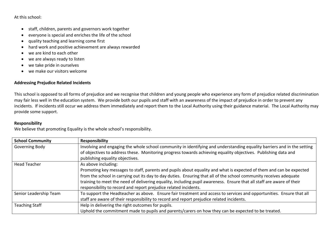At this school:

- staff, children, parents and governors work together
- everyone is special and enriches the life of the school
- quality teaching and learning come first
- hard work and positive achievement are always rewarded
- we are kind to each other
- we are always ready to listen
- we take pride in ourselves
- we make our visitors welcome

#### **Addressing Prejudice Related Incidents**

This school is opposed to all forms of prejudice and we recognise that children and young people who experience any form of prejudice related discrimination may fair less well in the education system. We provide both our pupils and staff with an awareness of the impact of prejudice in order to prevent any incidents. If incidents still occur we address them immediately and report them to the Local Authority using their guidance material. The Local Authority may provide some support.

#### **Responsibility**

We believe that promoting Equality is the whole school's responsibility.

| <b>School Community</b> | <b>Responsibility</b>                                                                                                   |
|-------------------------|-------------------------------------------------------------------------------------------------------------------------|
| Governing Body          | Involving and engaging the whole school community in identifying and understanding equality barriers and in the setting |
|                         | of objectives to address these. Monitoring progress towards achieving equality objectives. Publishing data and          |
|                         | publishing equality objectives.                                                                                         |
| Head Teacher            | As above including:                                                                                                     |
|                         | Promoting key messages to staff, parents and pupils about equality and what is expected of them and can be expected     |
|                         | from the school in carrying out its day to day duties. Ensuring that all of the school community receives adequate      |
|                         | training to meet the need of delivering equality, including pupil awareness. Ensure that all staff are aware of their   |
|                         | responsibility to record and report prejudice related incidents.                                                        |
| Senior Leadership Team  | To support the Headteacher as above. Ensure fair treatment and access to services and opportunities. Ensure that all    |
|                         | staff are aware of their responsibility to record and report prejudice related incidents.                               |
| <b>Teaching Staff</b>   | Help in delivering the right outcomes for pupils.                                                                       |
|                         | Uphold the commitment made to pupils and parents/carers on how they can be expected to be treated.                      |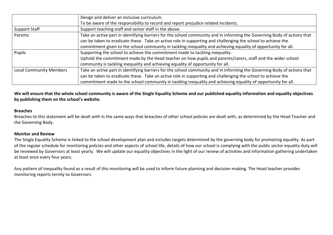|                                | Design and deliver an inclusive curriculum.                                                                              |
|--------------------------------|--------------------------------------------------------------------------------------------------------------------------|
|                                | To be aware of the responsibility to record and report prejudice related incidents.                                      |
| <b>Support Staff</b>           | Support teaching staff and senior staff in the above.                                                                    |
| Parents                        | Take an active part in identifying barriers for the school community and in informing the Governing Body of actions that |
|                                | can be taken to eradicate these. Take an active role in supporting and challenging the school to achieve the             |
|                                | commitment given to the school community in tackling inequality and achieving equality of opportunity for all.           |
| Pupils                         | Supporting the school to achieve the commitment made to tackling inequality.                                             |
|                                | Uphold the commitment made by the Head teacher on how pupils and parents/carers, staff and the wider school              |
|                                | community is tackling inequality and achieving equality of opportunity for all.                                          |
| <b>Local Community Members</b> | Take an active part in identifying barriers for the school community and in informing the Governing Body of actions that |
|                                | can be taken to eradicate these. Take an active role in supporting and challenging the school to achieve the             |
|                                | commitment made to the school community in tackling inequality and achieving equality of opportunity for all.            |

We will ensure that the whole school community is aware of the Single Equality Scheme and our published equality information and equality objectives **by publishing them on the school's website.**

#### **Breaches**

Breaches to this statement will be dealt with in the same ways that breaches of other school policies are dealt with, as determined by the Head Teacher and the Governing Body.

#### **Monitor and Review**

The Single Equality Scheme is linked to the school development plan and includes targets determined by the governing body for promoting equality. As part of the regular schedule for monitoring policies and other aspects of school life, details of how our school is complying with the public sector equality duty will be reviewed by Governors at least yearly. We will update our equality objectives in the light of our review of activities and information gathering undertaken at least once every four years.

Any pattern of inequality found as a result of this monitoring will be used to inform future planning and decision-making. The Head teacher provides monitoring reports termly to Governors.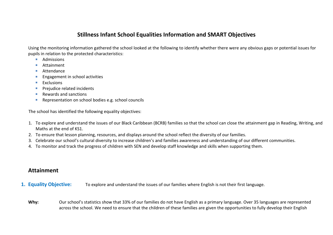# **Stillness Infant School Equalities Information and SMART Objectives**

Using the monitoring information gathered the school looked at the following to identify whether there were any obvious gaps or potential issues for pupils in relation to the protected characteristics:

- Admissions
- Attainment
- Attendance
- Engagement in school activities
- Exclusions
- **Prejudice related incidents**
- Rewards and sanctions
- Representation on school bodies e.g. school councils

The school has identified the following equality objectives:

- 1. To explore and understand the issues of our Black Caribbean (BCRB) families so that the school can close the attainment gap in Reading, Writing, and Maths at the end of KS1.
- 2. To ensure that lesson planning, resources, and displays around the school reflect the diversity of our families.
- 3. Celebrate our school's cultural diversity to increase children's and families awareness and understanding of our different communities.
- 4. To monitor and track the progress of children with SEN and develop staff knowledge and skills when supporting them.

# **Attainment**

### **1. Equality Objective:** To explore and understand the issues of our families where English is not their first language.

Why: Our school's statistics show that 33% of our families do not have English as a primary language. Over 35 languages are represented across the school. We need to ensure that the children of these families are given the opportunities to fully develop their English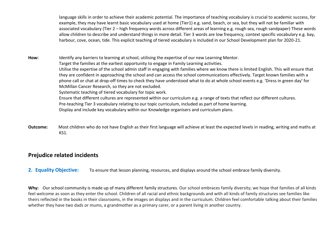language skills in order to achieve their academic potential. The importance of teaching vocabulary is crucial to academic success, for example, they may have learnt basic vocabulary used at home (Tier1) e.g. sand, beach, or sea, but they will not be familiar with associated vocabulary (Tier 2 – high frequency words across different areas of learning e.g. rough sea, rough sandpaper) These words allow children to describe and understand things in more detail. Tier 3 words are low frequency, context specific vocabulary e.g. bay, harbour, cove, ocean, tide. This explicit teaching of tiered vocabulary is included in our School Development plan for 2020-21.

**How:** Identify any barriers to learning at school, utilising the expertise of our new Learning Mentor. Target the families at the earliest opportunity to engage in Family Learning activities. Utilise the expertise of the school admin staff in engaging with families where we know there is limited English. This will ensure that they are confident in approaching the school and can access the school communications effectively. Target known families with a phone call or chat at drop-off times to check they have understood what to do at whole school events e.g. 'Dress in green day' for McMillan Cancer Research, so they are not excluded. Systematic teaching of tiered vocabulary for topic work. Ensure that different cultures are represented within our curriculum e.g. a range of texts that reflect our different cultures. Pre-teaching Tier 3 vocabulary relating to our topic curriculum, included as part of home learning. Display and include key vocabulary within our Knowledge organisers and curriculum plans.

**Outcome:** Most children who do not have English as their first language will achieve at least the expected levels in reading, writing and maths at KS1.

## **Prejudice related incidents**

**2. Equality Objective:** To ensure that lesson planning, resources, and displays around the school embrace family diversity.

Why: Our school community is made up of many different family structures. Our school embraces family diversity; we hope that families of all kinds feel welcome as soon as they enter the school. Children of all racial and ethnic backgrounds and with all kinds of family structures see families like theirs reflected in the books in their classrooms, in the images on displays and in the curriculum. Children feel comfortable talking about their families whether they have two dads or mums, a grandmother as a primary carer, or a parent living in another country.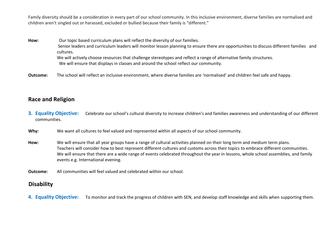Family diversity should be a consideration in every part of our school community. In this inclusive environment, diverse families are normalised and children aren't singled out or harassed, excluded or bullied because their family is "different."

**How:** Our topic based curriculum plans will reflect the diversity of our families. Senior leaders and curriculum leaders will monitor lesson planning to ensure there are opportunities to discuss different families and cultures. We will actively choose resources that challenge stereotypes and reflect a range of alternative family structures.

We will ensure that displays in classes and around the school reflect our community.

**Outcome:** The school will reflect an inclusive environment, where diverse families are 'normalised' and children feel safe and happy.

## **Race and Religion**

- **3. Equality Objective:** Celebrate our school's cultural diversity to increase children's and families awareness and understanding of our different communities.
- **Why:** We want all cultures to feel valued and represented within all aspects of our school community.
- **How:** We will ensure that all year groups have a range of cultural activities planned on their long term and medium term plans. Teachers will consider how to best represent different cultures and customs across their topics to embrace different communities. We will ensure that there are a wide range of events celebrated throughout the year in lessons, whole school assemblies, and family events e.g. International evening.
- **Outcome:** All communities will feel valued and celebrated within our school.

## **Disability**

**4. Equality Objective:** To monitor and track the progress of children with SEN, and develop staff knowledge and skills when supporting them.